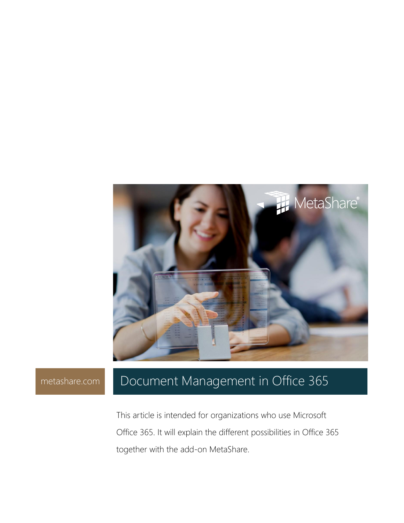

# [metashare.com](http://www.metashare.com/) Document Management in Office 365

This article is intended for organizations who use Microsoft Office 365. It will explain the different possibilities in Office 365 together with the add-on MetaShare.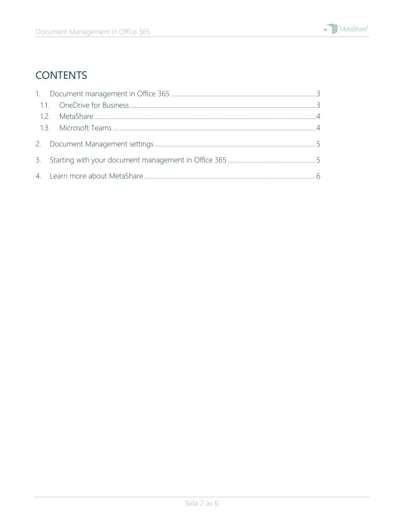

## **CONTENTS**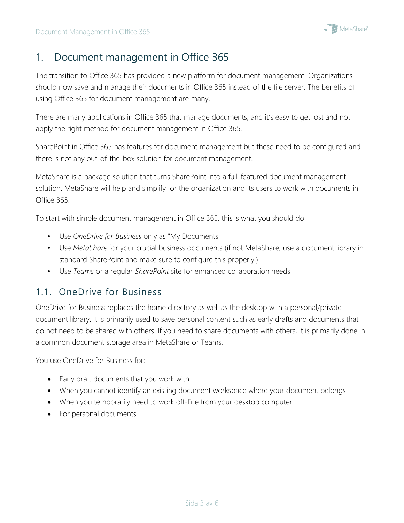### <span id="page-2-0"></span>1. Document management in Office 365

The transition to Office 365 has provided a new platform for document management. Organizations should now save and manage their documents in Office 365 instead of the file server. The benefits of using Office 365 for document management are many.

There are many applications in Office 365 that manage documents, and it's easy to get lost and not apply the right method for document management in Office 365.

SharePoint in Office 365 has features for document management but these need to be configured and there is not any out-of-the-box solution for document management.

MetaShare is a package solution that turns SharePoint into a full-featured document management solution. MetaShare will help and simplify for the organization and its users to work with documents in Office 365.

To start with simple document management in Office 365, this is what you should do:

- Use *OneDrive for Business* only as "My Documents"
- Use *MetaShare* for your crucial business documents (if not MetaShare, use a document library in standard SharePoint and make sure to configure this properly.)
- Use *Teams* or a regular *SharePoint* site for enhanced collaboration needs

### <span id="page-2-1"></span>1.1. OneDrive for Business

OneDrive for Business replaces the home directory as well as the desktop with a personal/private document library. It is primarily used to save personal content such as early drafts and documents that do not need to be shared with others. If you need to share documents with others, it is primarily done in a common document storage area in MetaShare or Teams.

You use OneDrive for Business for:

- Early draft documents that you work with
- When you cannot identify an existing document workspace where your document belongs
- When you temporarily need to work off-line from your desktop computer
- For personal documents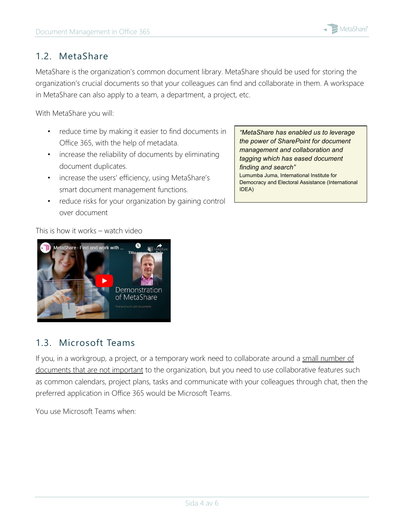

#### <span id="page-3-0"></span>1.2. MetaShare

MetaShare is the organization's common document library. MetaShare should be used for storing the organization's crucial documents so that your colleagues can find and collaborate in them. A workspace in MetaShare can also apply to a team, a department, a project, etc.

With MetaShare you will:

- reduce time by making it easier to find documents in Office 365, with the help of metadata.
- increase the reliability of documents by eliminating document duplicates.
- increase the users' efficiency, using MetaShare's smart document management functions.
- reduce risks for your organization by gaining control over document

*"MetaShare has enabled us to leverage the power of SharePoint for document management and collaboration and tagging which has eased document finding and search"* Lumumba Juma, International Institute for Democracy and Electoral Assistance (International IDEA)

#### This is how it works – watch video



### <span id="page-3-1"></span>1.3. Microsoft Teams

If you, in a workgroup, a project, or a temporary work need to collaborate around a small number of documents that are not important to the organization, but you need to use collaborative features such as common calendars, project plans, tasks and communicate with your colleagues through chat, then the preferred application in Office 365 would be Microsoft Teams.

You use Microsoft Teams when: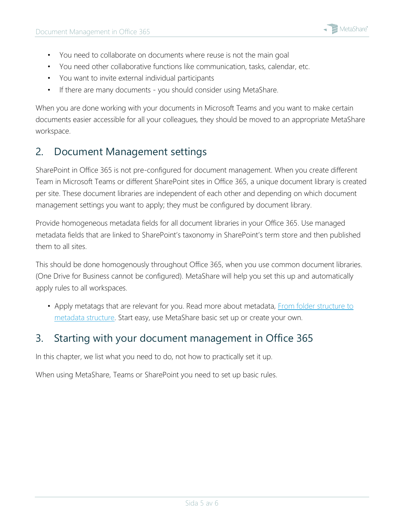- You need to collaborate on documents where reuse is not the main goal
- You need other collaborative functions like communication, tasks, calendar, etc.
- You want to invite external individual participants
- If there are many documents you should consider using MetaShare.

When you are done working with your documents in Microsoft Teams and you want to make certain documents easier accessible for all your colleagues, they should be moved to an appropriate MetaShare workspace.

### <span id="page-4-0"></span>2. Document Management settings

SharePoint in Office 365 is not pre-configured for document management. When you create different Team in Microsoft Teams or different SharePoint sites in Office 365, a unique document library is created per site. These document libraries are independent of each other and depending on which document management settings you want to apply; they must be configured by document library.

Provide homogeneous metadata fields for all document libraries in your Office 365. Use managed metadata fields that are linked to SharePoint's taxonomy in SharePoint's term store and then published them to all sites.

This should be done homogenously throughout Office 365, when you use common document libraries. (One Drive for Business cannot be configured). MetaShare will help you set this up and automatically apply rules to all workspaces.

• Apply metatags that are relevant for you. Read more about metadata, From folder structure to [metadata structure.](https://metashare.com/en/from-folder-structure-to-metadata-structure/) Start easy, use MetaShare basic set up or create your own.

### <span id="page-4-1"></span>3. Starting with your document management in Office 365

In this chapter, we list what you need to do, not how to practically set it up.

When using MetaShare, Teams or SharePoint you need to set up basic rules.